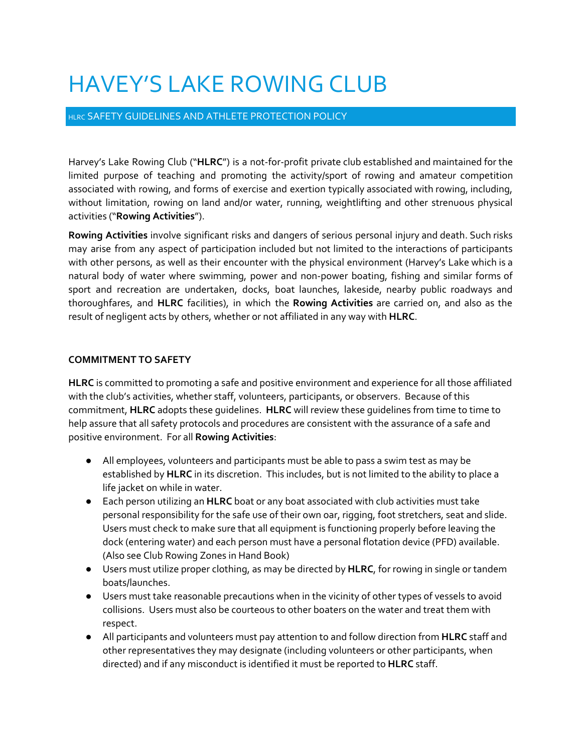## HAVEY'S LAKE ROWING CLUB

## HLRC SAFETY GUIDELINES AND ATHLETE PROTECTION POLICY

Harvey's Lake Rowing Club ("HLRC") is a not-for-profit private club established and maintained for the limited purpose of teaching and promoting the activity/sport of rowing and amateur competition associated with rowing, and forms of exercise and exertion typically associated with rowing, including, without limitation, rowing on land and/or water, running, weightlifting and other strenuous physical activities ("**Rowing Activities**").

**Rowing Activities** involve significant risks and dangers of serious personal injury and death. Such risks may arise from any aspect of participation included but not limited to the interactions of participants with other persons, as well as their encounter with the physical environment (Harvey's Lake which is a natural body of water where swimming, power and non-power boating, fishing and similar forms of sport and recreation are undertaken, docks, boat launches, lakeside, nearby public roadways and thoroughfares, and **HLRC** facilities), in which the **Rowing Activities** are carried on, and also as the result of negligent acts by others, whether or not affiliated in any way with **HLRC**.

## **COMMITMENT TO SAFETY**

**HLRC** is committed to promoting a safe and positive environment and experience for all those affiliated with the club's activities, whether staff, volunteers, participants, or observers. Because of this commitment, **HLRC** adopts these guidelines. **HLRC** will review these guidelines from time to time to help assure that all safety protocols and procedures are consistent with the assurance of a safe and positive environment. For all **Rowing Activities**:

- All employees, volunteers and participants must be able to pass a swim test as may be established by **HLRC** in its discretion. This includes, but is not limited to the ability to place a life jacket on while in water.
- Each person utilizing an **HLRC** boat or any boat associated with club activities must take personal responsibility for the safe use of their own oar, rigging, foot stretchers, seat and slide. Users must check to make sure that all equipment is functioning properly before leaving the dock (entering water) and each person must have a personal flotation device (PFD) available. (Also see Club Rowing Zones in Hand Book)
- Users must utilize proper clothing, as may be directed by **HLRC**, for rowing in single or tandem boats/launches.
- Users must take reasonable precautions when in the vicinity of other types of vessels to avoid collisions. Users must also be courteous to other boaters on the water and treat them with respect.
- All participants and volunteers must pay attention to and follow direction from **HLRC** staff and other representatives they may designate (including volunteers or other participants, when directed) and if any misconduct is identified it must be reported to **HLRC** staff.